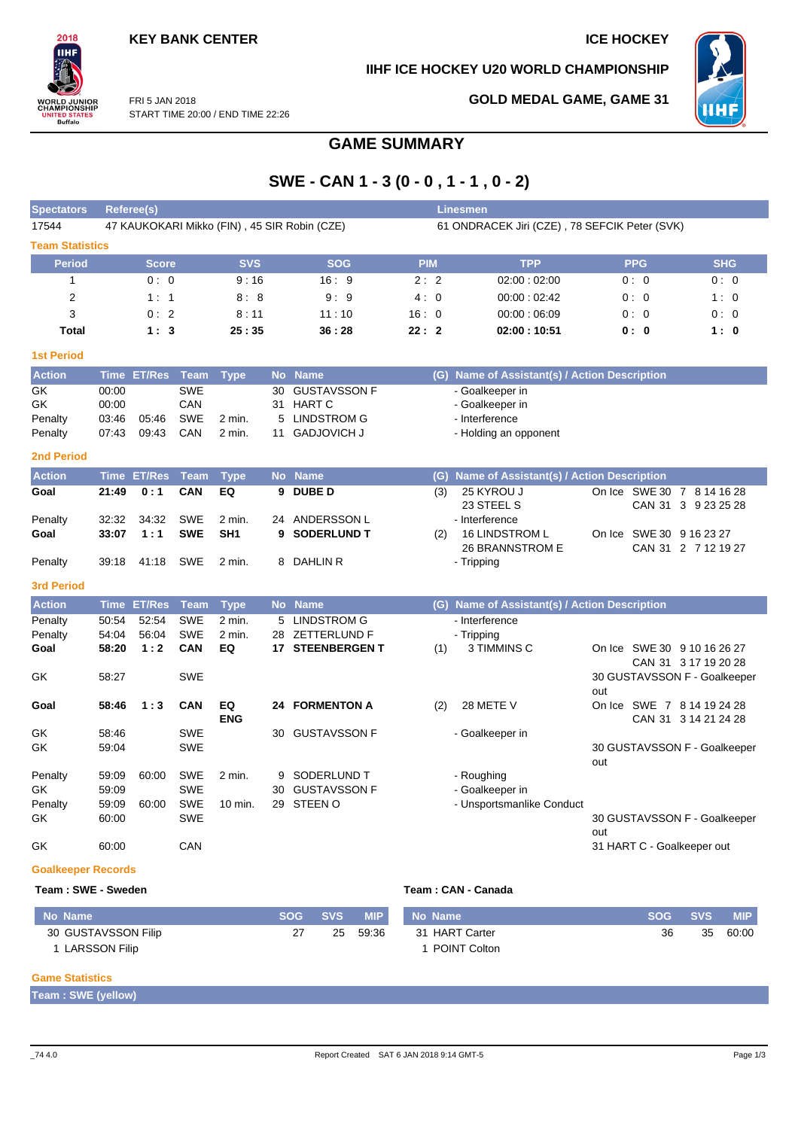

**IIHF ICE HOCKEY U20 WORLD CHAMPIONSHIP**



FRI 5 JAN 2018 START TIME 20:00 / END TIME 22:26

## **GOLD MEDAL GAME, GAME 31**

# **GAME SUMMARY**

# **SWE - CAN 1 - 3 (0 - 0 , 1 - 1 , 0 - 2)**

| <b>Spectators</b>         |                                              | Referee(s)       | Linesmen    |                  |           |                         |            |                                               |                                                    |            |  |  |  |  |  |  |  |
|---------------------------|----------------------------------------------|------------------|-------------|------------------|-----------|-------------------------|------------|-----------------------------------------------|----------------------------------------------------|------------|--|--|--|--|--|--|--|
| 17544                     | 47 KAUKOKARI Mikko (FIN), 45 SIR Robin (CZE) |                  |             |                  |           |                         |            | 61 ONDRACEK Jiri (CZE), 78 SEFCIK Peter (SVK) |                                                    |            |  |  |  |  |  |  |  |
| <b>Team Statistics</b>    |                                              |                  |             |                  |           |                         |            |                                               |                                                    |            |  |  |  |  |  |  |  |
| <b>Period</b>             |                                              | <b>Score</b>     |             | <b>SVS</b>       |           | <b>SOG</b>              | <b>PIM</b> | <b>TPP</b>                                    | <b>PPG</b>                                         | <b>SHG</b> |  |  |  |  |  |  |  |
| 1                         |                                              | 0:0              |             | 9:16             |           | 16:9                    | 2:2        | 02:00:02:00                                   | 0:0                                                | 0:0        |  |  |  |  |  |  |  |
| $\overline{2}$            |                                              | 1:1              |             | 8:8              |           | 9:9                     | 4:0        | 00:00:02:42                                   | 0:0                                                | 1:0        |  |  |  |  |  |  |  |
| 3                         |                                              | 0:2              |             | 8:11             |           | 11:10                   | 16:0       | 00:00:06:09                                   | 0:0                                                | 0:0        |  |  |  |  |  |  |  |
| <b>Total</b>              |                                              | 1:3              |             | 25:35            |           | 36:28                   | 22:2       | 02:00:10:51                                   | 0:0                                                | 1:0        |  |  |  |  |  |  |  |
| <b>1st Period</b>         |                                              |                  |             |                  |           |                         |            |                                               |                                                    |            |  |  |  |  |  |  |  |
| <b>Action</b>             |                                              | Time ET/Res Team |             | <b>Type</b>      |           | No Name                 |            | (G) Name of Assistant(s) / Action Description |                                                    |            |  |  |  |  |  |  |  |
| GK                        | 00:00                                        |                  | <b>SWE</b>  |                  | 30        | <b>GUSTAVSSON F</b>     |            | - Goalkeeper in                               |                                                    |            |  |  |  |  |  |  |  |
| GK                        | 00:00                                        |                  | CAN         |                  |           | 31 HART C               |            | - Goalkeeper in                               |                                                    |            |  |  |  |  |  |  |  |
| Penalty                   | 03:46                                        | 05:46            | <b>SWE</b>  | 2 min.           | 5         | <b>LINDSTROM G</b>      |            | - Interference                                |                                                    |            |  |  |  |  |  |  |  |
| Penalty                   | 07:43                                        | 09:43            | CAN         | $2$ min.         | 11        | <b>GADJOVICH J</b>      |            | - Holding an opponent                         |                                                    |            |  |  |  |  |  |  |  |
| <b>2nd Period</b>         |                                              |                  |             |                  |           |                         |            |                                               |                                                    |            |  |  |  |  |  |  |  |
| <b>Action</b>             | <b>Time</b>                                  | <b>ET/Res</b>    | <b>Team</b> | <b>Type</b>      |           | No Name                 |            | (G) Name of Assistant(s) / Action Description |                                                    |            |  |  |  |  |  |  |  |
| Goal                      | 21:49                                        | 0:1              | CAN         | EQ               | 9         | <b>DUBED</b>            | (3)        | 25 KYROU J<br>23 STEEL S                      | On Ice SWE 30 7 8 14 16 28<br>CAN 31 3 9 23 25 28  |            |  |  |  |  |  |  |  |
| Penalty                   | 32:32                                        | 34:32            | <b>SWE</b>  | 2 min.           | 24        | ANDERSSON L             |            | - Interference                                |                                                    |            |  |  |  |  |  |  |  |
| Goal                      | 33:07                                        | 1:1              | <b>SWE</b>  | SH <sub>1</sub>  | 9         | <b>SODERLUND T</b>      | (2)        | <b>16 LINDSTROM L</b>                         | On Ice SWE 30 9 16 23 27                           |            |  |  |  |  |  |  |  |
|                           |                                              |                  |             |                  |           |                         |            | 26 BRANNSTROM E                               | CAN 31 2 7 12 19 27                                |            |  |  |  |  |  |  |  |
| Penalty                   | 39:18                                        | 41:18            | <b>SWE</b>  | 2 min.           | 8         | DAHLIN R                |            | - Tripping                                    |                                                    |            |  |  |  |  |  |  |  |
| <b>3rd Period</b>         |                                              |                  |             |                  |           |                         |            |                                               |                                                    |            |  |  |  |  |  |  |  |
| <b>Action</b>             | <b>Time</b>                                  | ET/Res           | <b>Team</b> | <b>Type</b>      | <b>No</b> | <b>Name</b>             |            | (G) Name of Assistant(s) / Action Description |                                                    |            |  |  |  |  |  |  |  |
| Penalty                   | 50:54                                        | 52:54            | <b>SWE</b>  | 2 min.           | 5         | <b>LINDSTROM G</b>      |            | - Interference                                |                                                    |            |  |  |  |  |  |  |  |
| Penalty                   | 54:04                                        | 56:04            | <b>SWE</b>  | 2 min.           | 28        | ZETTERLUND F            |            | - Tripping                                    |                                                    |            |  |  |  |  |  |  |  |
| Goal                      | 58:20                                        | 1:2              | <b>CAN</b>  | EQ               |           | <b>17 STEENBERGEN T</b> | (1)        | 3 TIMMINS C                                   | On Ice SWE 30 9 10 16 26 27                        |            |  |  |  |  |  |  |  |
|                           |                                              |                  |             |                  |           |                         |            |                                               | CAN 31 3 17 19 20 28                               |            |  |  |  |  |  |  |  |
| GK                        | 58:27                                        |                  | <b>SWE</b>  |                  |           |                         |            |                                               | 30 GUSTAVSSON F - Goalkeeper                       |            |  |  |  |  |  |  |  |
|                           |                                              |                  |             |                  |           |                         |            |                                               | out                                                |            |  |  |  |  |  |  |  |
| Goal                      | 58:46                                        | 1:3              | <b>CAN</b>  | EQ<br><b>ENG</b> |           | <b>24 FORMENTON A</b>   | (2)        | 28 METE V                                     | On Ice SWE 7 8 14 19 24 28<br>CAN 31 3 14 21 24 28 |            |  |  |  |  |  |  |  |
| GK.                       | 58:46                                        |                  | <b>SWE</b>  |                  | 30        | <b>GUSTAVSSON F</b>     |            | - Goalkeeper in                               |                                                    |            |  |  |  |  |  |  |  |
| GK                        | 59:04                                        |                  | <b>SWE</b>  |                  |           |                         |            |                                               | 30 GUSTAVSSON F - Goalkeeper                       |            |  |  |  |  |  |  |  |
|                           |                                              |                  |             |                  |           |                         |            |                                               | out                                                |            |  |  |  |  |  |  |  |
| Penalty                   | 59:09                                        | 60:00            | SWE         | $2$ min.         | 9         | SODERLUND T             |            | - Roughing                                    |                                                    |            |  |  |  |  |  |  |  |
| GK                        | 59:09                                        |                  | <b>SWE</b>  |                  | 30        | <b>GUSTAVSSON F</b>     |            | - Goalkeeper in                               |                                                    |            |  |  |  |  |  |  |  |
| Penalty                   | 59:09                                        | 60:00            | <b>SWE</b>  | 10 min.          |           | 29 STEEN O              |            | - Unsportsmanlike Conduct                     |                                                    |            |  |  |  |  |  |  |  |
| GK                        | 60:00                                        |                  | <b>SWE</b>  |                  |           |                         |            |                                               | 30 GUSTAVSSON F - Goalkeeper                       |            |  |  |  |  |  |  |  |
|                           |                                              |                  |             |                  |           |                         |            |                                               | out                                                |            |  |  |  |  |  |  |  |
| GK                        | 60:00                                        |                  | CAN         |                  |           |                         |            |                                               | 31 HART C - Goalkeeper out                         |            |  |  |  |  |  |  |  |
| <b>Goalkeeper Records</b> |                                              |                  |             |                  |           |                         |            |                                               |                                                    |            |  |  |  |  |  |  |  |

### **Team : SWE - Sweden Team : CAN - Canada**

| <b>No Name</b>      | <b>SOG</b> | / SVS」 | <b>MIP</b> | No Name        | <b>SOG</b> | <b>SVS</b> | <b>MIP</b> |
|---------------------|------------|--------|------------|----------------|------------|------------|------------|
| 30 GUSTAVSSON Filip |            | 25     | 59:36      | 31 HART Carter | 36         | 35         | 60:00      |
| ' LARSSON Filip     |            |        |            | POINT Colton   |            |            |            |

#### **Game Statistics**

**Team : SWE (yellow)**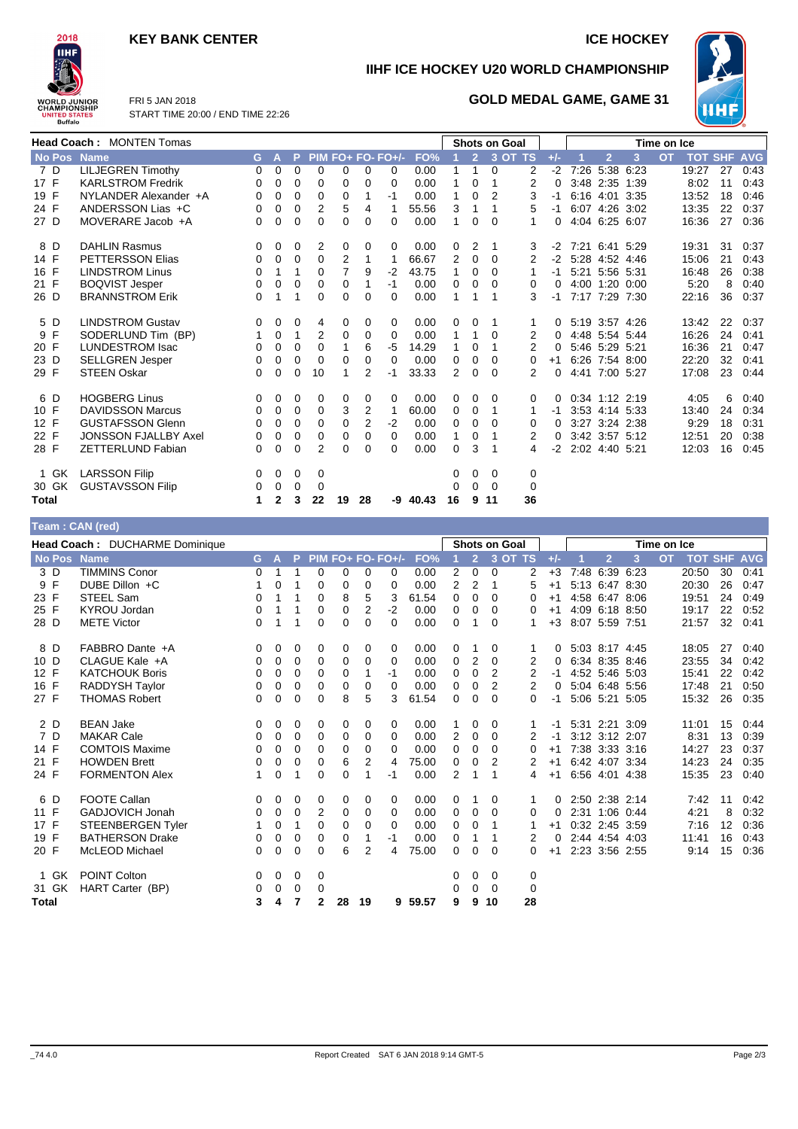## **KEY BANK CENTER ICE HOCKEY**



**Team : CAN (red)**

**IIHF ICE HOCKEY U20 WORLD CHAMPIONSHIP**

**GOLD MEDAL GAME, GAME 31**



FRI 5 JAN 2018 START TIME 20:00 / END TIME 22:26

| <b>Head Coach: MONTEN Tomas</b> |                             |          |              |          |                |                |              | <b>Shots on Goal</b> |       |              |                |              |    |          |                     | Time on Ice    |   |           |                    |    |      |
|---------------------------------|-----------------------------|----------|--------------|----------|----------------|----------------|--------------|----------------------|-------|--------------|----------------|--------------|----|----------|---------------------|----------------|---|-----------|--------------------|----|------|
| <b>No Pos</b>                   | <b>Name</b>                 | G        | $\mathbf{A}$ |          |                |                |              | P PIM FO+ FO- FO+/-  | FO%   |              | $\overline{2}$ | 3 OT TS      |    | $+/-$    |                     | $\overline{2}$ | 3 | <b>OT</b> | <b>TOT SHF AVG</b> |    |      |
| 7 D                             | <b>LILJEGREN Timothy</b>    | $\Omega$ | 0            | $\Omega$ | $\Omega$       | 0              | $\Omega$     | 0                    | 0.00  |              | 1              | $\Omega$     | 2  |          | $-2$ 7:26 5:38 6:23 |                |   |           | 19:27              | 27 | 0:43 |
| 17 F                            | <b>KARLSTROM Fredrik</b>    | 0        | $\Omega$     | 0        | 0              | 0              | 0            | $\Omega$             | 0.00  |              | $\Omega$       | 1            | 2  | 0        |                     | 3:48 2:35 1:39 |   |           | 8:02               | 11 | 0:43 |
| 19 F                            | NYLANDER Alexander +A       | 0        | 0            | $\Omega$ | $\Omega$       | 0              |              | -1                   | 0.00  | 1            | $\Omega$       | 2            | 3  | $-1$     |                     | 6:16 4:01 3:35 |   |           | 13:52              | 18 | 0:46 |
| 24 F                            | ANDERSSON Lias +C           | 0        | 0            | 0        | $\overline{2}$ | 5              | 4            |                      | 55.56 | 3            |                |              | 5  | -1       |                     | 6:07 4:26 3:02 |   |           | 13:35              | 22 | 0:37 |
| 27 D                            | MOVERARE Jacob +A           | 0        | 0            | $\Omega$ | $\Omega$       | $\Omega$       | 0            | 0                    | 0.00  | $\mathbf{1}$ | $\Omega$       | $\Omega$     | 1  | $\Omega$ |                     | 4:04 6:25 6:07 |   |           | 16:36              | 27 | 0:36 |
| 8 D                             | <b>DAHLIN Rasmus</b>        | 0        | 0            | 0        | 2              | 0              | $\Omega$     | 0                    | 0.00  | 0            | 2              | $\mathbf{1}$ | 3  |          | $-2$ 7:21 6:41 5:29 |                |   |           | 19:31              | 31 | 0:37 |
| 14 F                            | <b>PETTERSSON Elias</b>     | 0        | 0            | $\Omega$ | 0              | 2              |              |                      | 66.67 | 2            | $\Omega$       | $\Omega$     | 2  |          | $-2$ 5:28 4:52 4:46 |                |   |           | 15:06              | 21 | 0:43 |
| 16 F                            | <b>LINDSTROM Linus</b>      | 0        | 1            | 1        | $\Omega$       | $\overline{7}$ | 9            | $-2$                 | 43.75 | 1            | $\Omega$       | $\Omega$     | 1  | $-1$     |                     | 5:21 5:56 5:31 |   |           | 16:48              | 26 | 0:38 |
| 21 F                            | <b>BOQVIST Jesper</b>       | 0        | 0            | $\Omega$ | $\Omega$       | 0              |              | $-1$                 | 0.00  | 0            | 0              | $\Omega$     | 0  | $\Omega$ |                     | 4:00 1:20 0:00 |   |           | 5:20               | 8  | 0:40 |
| 26 D                            | <b>BRANNSTROM Erik</b>      | 0        | 1            | 1        | $\Omega$       | 0              | <sup>0</sup> | 0                    | 0.00  | 1            |                |              | 3  | $-1$     |                     | 7:17 7:29 7:30 |   |           | 22:16              | 36 | 0:37 |
| 5 D                             | <b>LINDSTROM Gustav</b>     | 0        | 0            | 0        | 4              | 0              | 0            | 0                    | 0.00  | 0            | 0              | 1            | 1  | $\Omega$ |                     | 5:19 3:57 4:26 |   |           | 13:42              | 22 | 0:37 |
| 9 F                             | SODERLUND Tim (BP)          | 1        | 0            | 1        | 2              | 0              | $\Omega$     | 0                    | 0.00  | 1            | 1              | $\Omega$     | 2  | $\Omega$ |                     | 4:48 5:54 5:44 |   |           | 16:26              | 24 | 0:41 |
| 20 F                            | <b>LUNDESTROM Isac</b>      | 0        | 0            | $\Omega$ | $\Omega$       | 1              | 6            | -5                   | 14.29 |              | $\Omega$       |              | 2  | $\Omega$ |                     | 5:46 5:29 5:21 |   |           | 16:36              | 21 | 0:47 |
| 23 D                            | <b>SELLGREN Jesper</b>      | 0        | 0            | 0        | $\Omega$       | 0              | $\Omega$     | 0                    | 0.00  | 0            | $\Omega$       | $\Omega$     | 0  | $+1$     |                     | 6:26 7:54 8:00 |   |           | 22:20              | 32 | 0:41 |
| 29 F                            | <b>STEEN Oskar</b>          | 0        | 0            | $\Omega$ | 10             | 1              | 2            | $-1$                 | 33.33 | 2            | $\Omega$       | $\Omega$     | 2  | 0        |                     | 4:41 7:00 5:27 |   |           | 17:08              | 23 | 0:44 |
| 6 D                             | <b>HOGBERG Linus</b>        | 0        | 0            | 0        | 0              | 0              | 0            | 0                    | 0.00  | 0            | 0              | $\Omega$     | 0  | $\Omega$ |                     | 0:34 1:12 2:19 |   |           | 4:05               | 6  | 0:40 |
| 10 F                            | <b>DAVIDSSON Marcus</b>     | 0        | 0            | $\Omega$ | $\Omega$       | 3              | 2            | 1                    | 60.00 | 0            | 0              | 1            | 1  | $-1$     |                     | 3:53 4:14 5:33 |   |           | 13:40              | 24 | 0:34 |
| 12 F                            | <b>GUSTAFSSON Glenn</b>     | 0        | 0            | 0        | 0              | 0              | 2            | $-2$                 | 0.00  | 0            | 0              | $\Omega$     | 0  | 0        |                     | 3:27 3:24 2:38 |   |           | 9:29               | 18 | 0:31 |
| 22 F                            | <b>JONSSON FJALLBY Axel</b> | 0        | 0            | 0        | $\Omega$       | 0              | $\Omega$     | 0                    | 0.00  | 1            | $\Omega$       |              | 2  | 0        |                     | 3:42 3:57 5:12 |   |           | 12:51              | 20 | 0:38 |
| 28 F                            | <b>ZETTERLUND Fabian</b>    | 0        | $\Omega$     | $\Omega$ | $\overline{2}$ | 0              | 0            | 0                    | 0.00  | $\Omega$     | 3              | 1            | 4  | $-2$     |                     | 2:02 4:40 5:21 |   |           | 12:03              | 16 | 0:45 |
| 1 GK                            | <b>LARSSON Filip</b>        | 0        | 0            | 0        | 0              |                |              |                      |       | 0            | 0              | 0            | 0  |          |                     |                |   |           |                    |    |      |
| 30 GK                           | <b>GUSTAVSSON Filip</b>     | 0        | 0            | 0        | $\Omega$       |                |              |                      |       | 0            | $\Omega$       | $\Omega$     | 0  |          |                     |                |   |           |                    |    |      |
| Total                           |                             | 1.       | $\mathbf{2}$ | 3        | 22             | 19             | 28           | -9                   | 40.43 | 16           | 9              | 11           | 36 |          |                     |                |   |           |                    |    |      |

| $1$ vani . Onit (Ivu)           |                        |          |   |   |              |    |                |                   |       |          |                |          |         |       |                |             |           |                |    |            |
|---------------------------------|------------------------|----------|---|---|--------------|----|----------------|-------------------|-------|----------|----------------|----------|---------|-------|----------------|-------------|-----------|----------------|----|------------|
| Head Coach : DUCHARME Dominique |                        |          |   |   |              |    |                |                   |       |          | Shots on Goal  |          |         |       |                | Time on Ice |           |                |    |            |
| No Pos Name                     |                        | G.       | A | Þ |              |    |                | PIM FO+ FO- FO+/- | FO%   |          | 2 <sup>2</sup> |          | 3 OT TS | $+/-$ | $\overline{2}$ | 3           | <b>OT</b> | <b>TOT SHF</b> |    | <b>AVG</b> |
| 3 D                             | <b>TIMMINS Conor</b>   | 0        | 1 | 1 | 0            | 0  | 0              | 0                 | 0.00  | 2        | 0              | 0        | 2       | $+3$  | 7:48 6:39      | 6:23        |           | 20:50          | 30 | 0:41       |
| 9 F                             | DUBE Dillon +C         |          | 0 | 1 | $\Omega$     | 0  | $\Omega$       | 0                 | 0.00  | 2        | 2              | 1        | 5       | $+1$  | 5:13 6:47 8:30 |             |           | 20:30          | 26 | 0:47       |
| 23 F                            | STEEL Sam              | 0        | 1 | 1 | 0            | 8  | 5              | 3                 | 61.54 | 0        | 0              | 0        | 0       | $+1$  | 4:58 6:47 8:06 |             |           | 19:51          | 24 | 0:49       |
| 25 F                            | <b>KYROU Jordan</b>    | 0        | 1 | 1 | $\Omega$     | 0  | 2              | $-2$              | 0.00  | 0        | 0              | 0        | 0       | $+1$  | 4:09 6:18 8:50 |             |           | 19:17          | 22 | 0:52       |
| 28 D                            | <b>METE Victor</b>     | 0        | 1 | 1 | 0            | 0  | $\Omega$       | 0                 | 0.00  | 0        |                | $\Omega$ | 1       | $+3$  | 8:07 5:59 7:51 |             |           | 21:57          | 32 | 0:41       |
| 8 D                             | FABBRO Dante +A        | 0        | 0 | 0 | 0            | 0  | 0              | 0                 | 0.00  | 0        |                | 0        |         | 0     | 5:03 8:17 4:45 |             |           | 18:05          | 27 | 0:40       |
| 10 D                            | CLAGUE Kale +A         | 0        | 0 | 0 | 0            | 0  | 0              | 0                 | 0.00  | 0        | 2              | 0        | 2       | 0     | 6:34 8:35 8:46 |             |           | 23:55          | 34 | 0:42       |
| 12 F                            | <b>KATCHOUK Boris</b>  | 0        | 0 | 0 | 0            | 0  | 1              | -1                | 0.00  | 0        | 0              | 2        | 2       | $-1$  | 4:52 5:46 5:03 |             |           | 15:41          | 22 | 0:42       |
| 16 F                            | RADDYSH Taylor         | 0        | 0 | 0 | $\Omega$     | 0  | 0              | 0                 | 0.00  | 0        | 0              | 2        | 2       | 0     | 5:04 6:48 5:56 |             |           | 17:48          | 21 | 0:50       |
| 27 F                            | <b>THOMAS Robert</b>   | 0        | 0 | 0 | 0            | 8  | 5              | 3                 | 61.54 | $\Omega$ | 0              | 0        | 0       | -1    | 5:06 5:21 5:05 |             |           | 15:32          | 26 | 0:35       |
| 2 D                             | <b>BEAN Jake</b>       | 0        | 0 | 0 | 0            | 0  | 0              | 0                 | 0.00  | 1        | 0              | 0        |         | $-1$  | 5:31 2:21 3:09 |             |           | 11:01          | 15 | 0:44       |
| 7 D                             | <b>MAKAR Cale</b>      | 0        | 0 | 0 | 0            | 0  | 0              | 0                 | 0.00  | 2        | 0              | 0        | 2       | -1    | 3:12 3:12 2:07 |             |           | 8:31           | 13 | 0:39       |
| 14 F                            | <b>COMTOIS Maxime</b>  | 0        | 0 | 0 | 0            | 0  | 0              | 0                 | 0.00  | 0        | 0              | 0        | 0       | $+1$  | 7:38 3:33 3:16 |             |           | 14:27          | 23 | 0:37       |
| 21 F                            | <b>HOWDEN Brett</b>    | 0        | 0 | 0 | 0            | 6  | 2              | 4                 | 75.00 | 0        | 0              | 2        | 2       | $+1$  | 6:42 4:07 3:34 |             |           | 14:23          | 24 | 0:35       |
| 24 F                            | <b>FORMENTON Alex</b>  | 1        | 0 | 1 | 0            | 0  | 1              | -1                | 0.00  | 2        | 1              | 1        | 4       | $+1$  | 6:56 4:01 4:38 |             |           | 15:35          | 23 | 0:40       |
| 6 D                             | <b>FOOTE Callan</b>    | 0        | 0 | 0 | 0            | 0  | 0              | 0                 | 0.00  | 0        |                | 0        | 1       | 0     | 2:50 2:38 2:14 |             |           | 7:42           | 11 | 0:42       |
| 11 F                            | GADJOVICH Jonah        | 0        | 0 | 0 | 2            | 0  | 0              | 0                 | 0.00  | 0        | $\Omega$       | 0        | 0       | 0     | 2:31 1:06 0:44 |             |           | 4:21           | 8  | 0:32       |
| 17 F                            | STEENBERGEN Tyler      | 1        | 0 | 1 | $\Omega$     | 0  | 0              | 0                 | 0.00  | 0        | 0              | 1        |         | $+1$  | 0:32 2:45 3:59 |             |           | 7:16           | 12 | 0:36       |
| 19 F                            | <b>BATHERSON Drake</b> | 0        | 0 | 0 | 0            | 0  | 1              | -1                | 0.00  | 0        | 1              | 1        | 2       | 0     | 2:44 4:54 4:03 |             |           | 11:41          | 16 | 0:43       |
| 20 F                            | McLEOD Michael         | $\Omega$ | 0 | 0 | $\Omega$     | 6  | $\overline{2}$ | 4                 | 75.00 | 0        | $\Omega$       | $\Omega$ | 0       | $+1$  | 2:23 3:56 2:55 |             |           | 9:14           | 15 | 0:36       |
| GK<br>$\mathbf{1}$              | <b>POINT Colton</b>    | 0        | 0 | 0 | 0            |    |                |                   |       | 0        | 0              | 0        | 0       |       |                |             |           |                |    |            |
| 31 GK                           | HART Carter (BP)       | 0        | 0 | 0 | 0            |    |                |                   |       | 0        | 0              | $\Omega$ | 0       |       |                |             |           |                |    |            |
| <b>Total</b>                    |                        | 3        | 4 | 7 | $\mathbf{2}$ | 28 | 19             | 9                 | 59.57 | 9        | 9              | 10       | 28      |       |                |             |           |                |    |            |